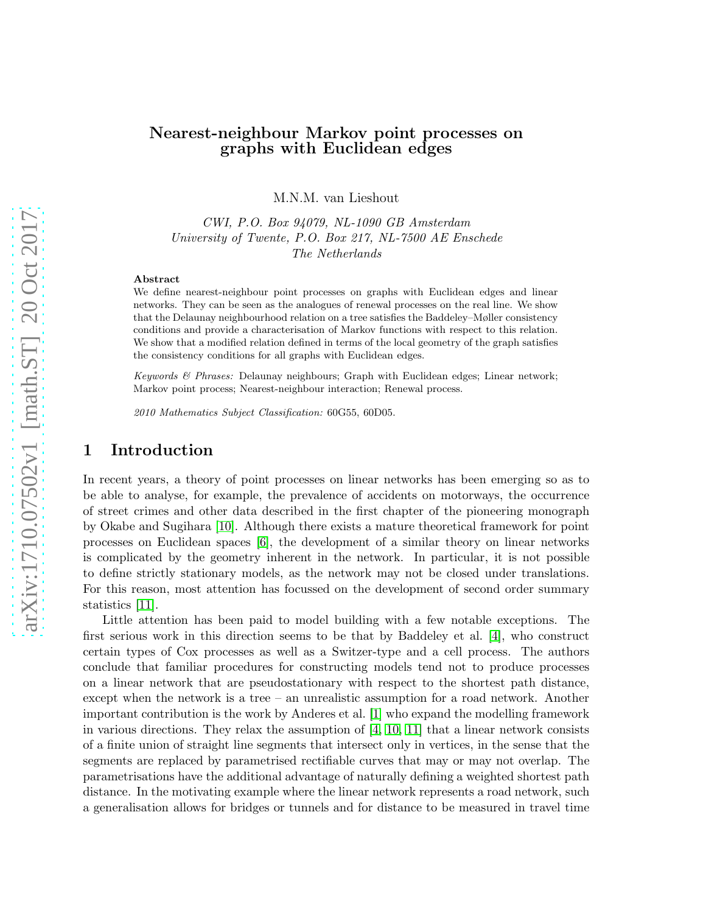## Nearest-neighbour Markov point processes on graphs with Euclidean edges

M.N.M. van Lieshout

CWI, P.O. Box 94079, NL-1090 GB Amsterdam University of Twente, P.O. Box 217, NL-7500 AE Enschede The Netherlands

#### Abstract

We define nearest-neighbour point processes on graphs with Euclidean edges and linear networks. They can be seen as the analogues of renewal processes on the real line. We show that the Delaunay neighbourhood relation on a tree satisfies the Baddeley–Møller consistency conditions and provide a characterisation of Markov functions with respect to this relation. We show that a modified relation defined in terms of the local geometry of the graph satisfies the consistency conditions for all graphs with Euclidean edges.

Keywords & Phrases: Delaunay neighbours; Graph with Euclidean edges; Linear network; Markov point process; Nearest-neighbour interaction; Renewal process.

2010 Mathematics Subject Classification: 60G55, 60D05.

## 1 Introduction

In recent years, a theory of point processes on linear networks has been emerging so as to be able to analyse, for example, the prevalence of accidents on motorways, the occurrence of street crimes and other data described in the first chapter of the pioneering monograph by Okabe and Sugihara [\[10\]](#page-16-0). Although there exists a mature theoretical framework for point processes on Euclidean spaces [\[6\]](#page-16-1), the development of a similar theory on linear networks is complicated by the geometry inherent in the network. In particular, it is not possible to define strictly stationary models, as the network may not be closed under translations. For this reason, most attention has focussed on the development of second order summary statistics [\[11\]](#page-16-2).

Little attention has been paid to model building with a few notable exceptions. The first serious work in this direction seems to be that by Baddeley et al. [\[4\]](#page-16-3), who construct certain types of Cox processes as well as a Switzer-type and a cell process. The authors conclude that familiar procedures for constructing models tend not to produce processes on a linear network that are pseudostationary with respect to the shortest path distance, except when the network is a tree – an unrealistic assumption for a road network. Another important contribution is the work by Anderes et al. [\[1\]](#page-16-4) who expand the modelling framework in various directions. They relax the assumption of  $[4, 10, 11]$  $[4, 10, 11]$  $[4, 10, 11]$  that a linear network consists of a finite union of straight line segments that intersect only in vertices, in the sense that the segments are replaced by parametrised rectifiable curves that may or may not overlap. The parametrisations have the additional advantage of naturally defining a weighted shortest path distance. In the motivating example where the linear network represents a road network, such a generalisation allows for bridges or tunnels and for distance to be measured in travel time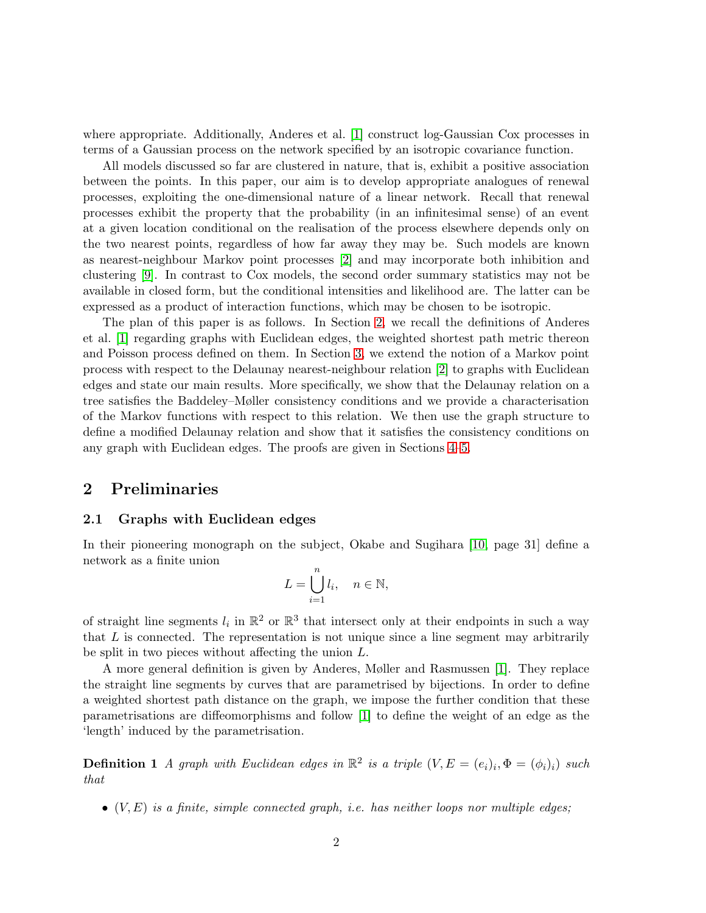where appropriate. Additionally, Anderes et al. [\[1\]](#page-16-4) construct log-Gaussian Cox processes in terms of a Gaussian process on the network specified by an isotropic covariance function.

All models discussed so far are clustered in nature, that is, exhibit a positive association between the points. In this paper, our aim is to develop appropriate analogues of renewal processes, exploiting the one-dimensional nature of a linear network. Recall that renewal processes exhibit the property that the probability (in an infinitesimal sense) of an event at a given location conditional on the realisation of the process elsewhere depends only on the two nearest points, regardless of how far away they may be. Such models are known as nearest-neighbour Markov point processes [\[2\]](#page-16-5) and may incorporate both inhibition and clustering [\[9\]](#page-16-6). In contrast to Cox models, the second order summary statistics may not be available in closed form, but the conditional intensities and likelihood are. The latter can be expressed as a product of interaction functions, which may be chosen to be isotropic.

The plan of this paper is as follows. In Section [2,](#page-1-0) we recall the definitions of Anderes et al. [\[1\]](#page-16-4) regarding graphs with Euclidean edges, the weighted shortest path metric thereon and Poisson process defined on them. In Section [3,](#page-4-0) we extend the notion of a Markov point process with respect to the Delaunay nearest-neighbour relation [\[2\]](#page-16-5) to graphs with Euclidean edges and state our main results. More specifically, we show that the Delaunay relation on a tree satisfies the Baddeley–Møller consistency conditions and we provide a characterisation of the Markov functions with respect to this relation. We then use the graph structure to define a modified Delaunay relation and show that it satisfies the consistency conditions on any graph with Euclidean edges. The proofs are given in Sections [4](#page-9-0)[–5.](#page-12-0)

## <span id="page-1-0"></span>2 Preliminaries

### 2.1 Graphs with Euclidean edges

In their pioneering monograph on the subject, Okabe and Sugihara [\[10,](#page-16-0) page 31] define a network as a finite union

$$
L = \bigcup_{i=1}^{n} l_i, \quad n \in \mathbb{N},
$$

of straight line segments  $l_i$  in  $\mathbb{R}^2$  or  $\mathbb{R}^3$  that intersect only at their endpoints in such a way that  $L$  is connected. The representation is not unique since a line segment may arbitrarily be split in two pieces without affecting the union L.

A more general definition is given by Anderes, Møller and Rasmussen [\[1\]](#page-16-4). They replace the straight line segments by curves that are parametrised by bijections. In order to define a weighted shortest path distance on the graph, we impose the further condition that these parametrisations are diffeomorphisms and follow [\[1\]](#page-16-4) to define the weight of an edge as the 'length' induced by the parametrisation.

**Definition 1** A graph with Euclidean edges in  $\mathbb{R}^2$  is a triple  $(V, E = (e_i)_i, \Phi = (\phi_i)_i)$  such that

 $\bullet$   $(V, E)$  is a finite, simple connected graph, i.e. has neither loops nor multiple edges;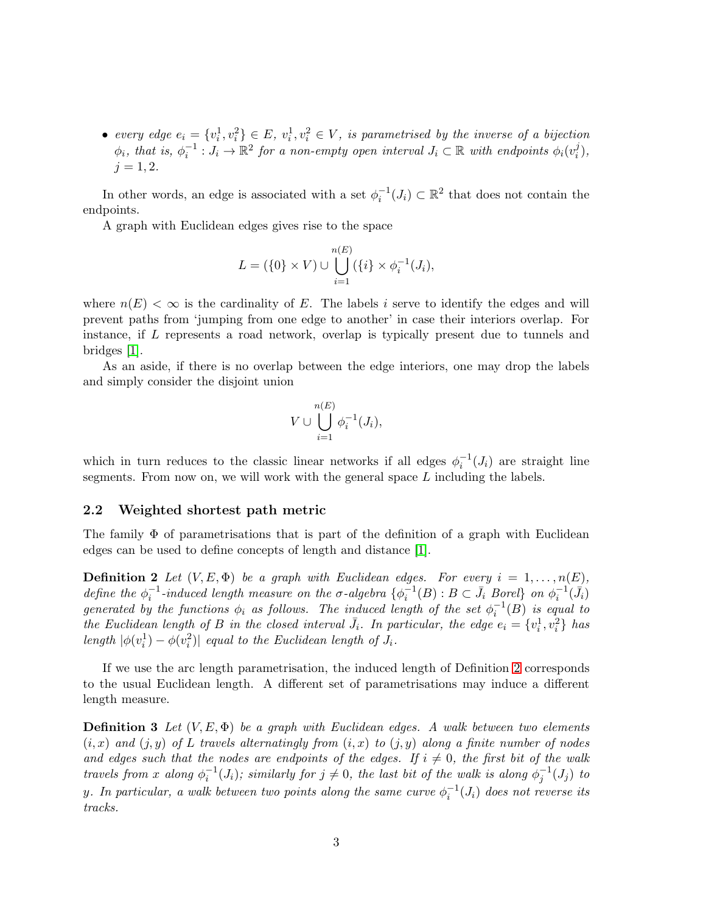• every edge  $e_i = \{v_i^1, v_i^2\} \in E$ ,  $v_i^1, v_i^2 \in V$ , is parametrised by the inverse of a bijection  $\phi_i$ , that is,  $\phi_i^{-1}: J_i \to \mathbb{R}^2$  for a non-empty open interval  $J_i \subset \mathbb{R}$  with endpoints  $\phi_i(v_i^j)$  $_{i}^{j}),$  $i = 1, 2.$ 

In other words, an edge is associated with a set  $\phi_i^{-1}(J_i) \subset \mathbb{R}^2$  that does not contain the endpoints.

A graph with Euclidean edges gives rise to the space

$$
L = (\{0\} \times V) \cup \bigcup_{i=1}^{n(E)} (\{i\} \times \phi_i^{-1}(J_i)),
$$

where  $n(E) < \infty$  is the cardinality of E. The labels i serve to identify the edges and will prevent paths from 'jumping from one edge to another' in case their interiors overlap. For instance, if L represents a road network, overlap is typically present due to tunnels and bridges [\[1\]](#page-16-4).

As an aside, if there is no overlap between the edge interiors, one may drop the labels and simply consider the disjoint union

$$
V \cup \bigcup_{i=1}^{n(E)} \phi_i^{-1}(J_i),
$$

which in turn reduces to the classic linear networks if all edges  $\phi_i^{-1}(J_i)$  are straight line segments. From now on, we will work with the general space L including the labels.

### 2.2 Weighted shortest path metric

<span id="page-2-0"></span>The family  $\Phi$  of parametrisations that is part of the definition of a graph with Euclidean edges can be used to define concepts of length and distance [\[1\]](#page-16-4).

**Definition 2** Let  $(V, E, \Phi)$  be a graph with Euclidean edges. For every  $i = 1, ..., n(E)$ , define the  $\phi_i^{-1}$ -induced length measure on the  $\sigma$ -algebra  $\{\phi_i^{-1}(B) : B \subset \bar{J}_i$  Borel} on  $\phi_i^{-1}(\bar{J}_i)$ generated by the functions  $\phi_i$  as follows. The induced length of the set  $\phi_i^{-1}(B)$  is equal to the Euclidean length of B in the closed interval  $\bar{J}_i$ . In particular, the edge  $e_i = \{v_i^1, v_i^2\}$  has length  $|\phi(v_i^1) - \phi(v_i^2)|$  equal to the Euclidean length of  $J_i$ .

If we use the arc length parametrisation, the induced length of Definition [2](#page-2-0) corresponds to the usual Euclidean length. A different set of parametrisations may induce a different length measure.

**Definition 3** Let  $(V, E, \Phi)$  be a graph with Euclidean edges. A walk between two elements  $(i, x)$  and  $(j, y)$  of L travels alternatingly from  $(i, x)$  to  $(j, y)$  along a finite number of nodes and edges such that the nodes are endpoints of the edges. If  $i \neq 0$ , the first bit of the walk travels from x along  $\phi_i^{-1}(J_i)$ ; similarly for  $j \neq 0$ , the last bit of the walk is along  $\phi_j^{-1}(J_j)$  to y. In particular, a walk between two points along the same curve  $\phi_i^{-1}(J_i)$  does not reverse its tracks.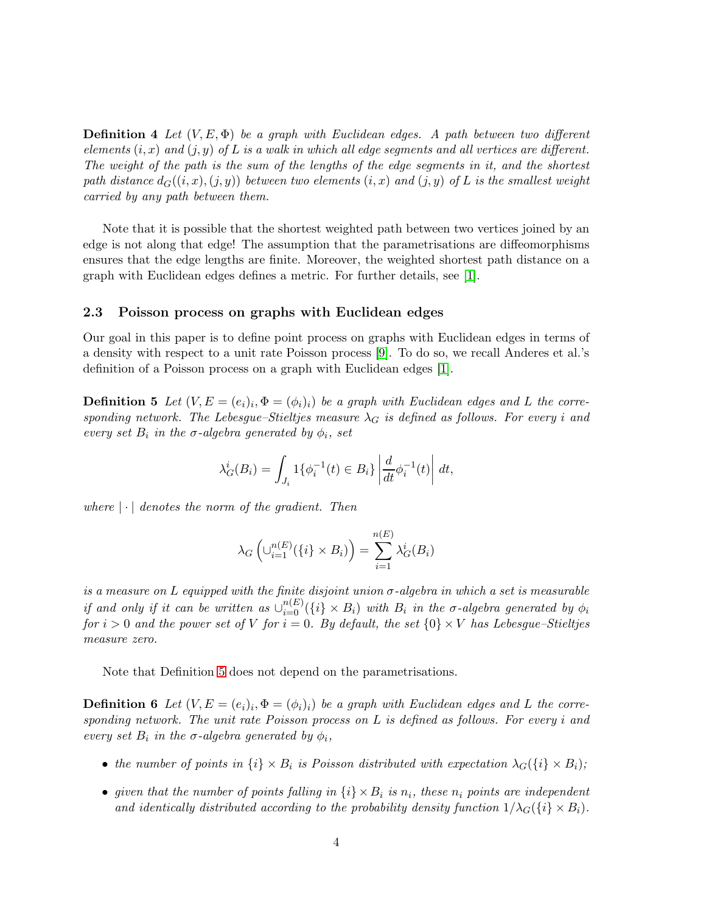**Definition 4** Let  $(V, E, \Phi)$  be a graph with Euclidean edges. A path between two different elements  $(i, x)$  and  $(j, y)$  of L is a walk in which all edge segments and all vertices are different. The weight of the path is the sum of the lengths of the edge segments in it, and the shortest path distance  $d_G((i, x), (j, y))$  between two elements  $(i, x)$  and  $(j, y)$  of L is the smallest weight carried by any path between them.

Note that it is possible that the shortest weighted path between two vertices joined by an edge is not along that edge! The assumption that the parametrisations are diffeomorphisms ensures that the edge lengths are finite. Moreover, the weighted shortest path distance on a graph with Euclidean edges defines a metric. For further details, see [\[1\]](#page-16-4).

### 2.3 Poisson process on graphs with Euclidean edges

<span id="page-3-0"></span>Our goal in this paper is to define point process on graphs with Euclidean edges in terms of a density with respect to a unit rate Poisson process [\[9\]](#page-16-6). To do so, we recall Anderes et al.'s definition of a Poisson process on a graph with Euclidean edges [\[1\]](#page-16-4).

**Definition 5** Let  $(V, E = (e_i)_i, \Phi = (\phi_i)_i)$  be a graph with Euclidean edges and L the corresponding network. The Lebesgue–Stieltjes measure  $\lambda_G$  is defined as follows. For every i and every set  $B_i$  in the  $\sigma$ -algebra generated by  $\phi_i$ , set

$$
\lambda_G^i(B_i) = \int_{J_i} 1\{\phi_i^{-1}(t) \in B_i\} \left| \frac{d}{dt} \phi_i^{-1}(t) \right| dt,
$$

where  $|\cdot|$  denotes the norm of the gradient. Then

$$
\lambda_G\left(\cup_{i=1}^{n(E)}(\{i\} \times B_i)\right) = \sum_{i=1}^{n(E)} \lambda_G^i(B_i)
$$

is a measure on L equipped with the finite disjoint union  $\sigma$ -algebra in which a set is measurable if and only if it can be written as  $\cup_{i=0}^{n(E)}(\{i\} \times B_i)$  with  $B_i$  in the  $\sigma$ -algebra generated by  $\phi_i$ for  $i > 0$  and the power set of V for  $i = 0$ . By default, the set  $\{0\} \times V$  has Lebesgue–Stieltjes measure zero.

Note that Definition [5](#page-3-0) does not depend on the parametrisations.

**Definition 6** Let  $(V, E = (e_i)_i, \Phi = (\phi_i)_i)$  be a graph with Euclidean edges and L the corresponding network. The unit rate Poisson process on  $L$  is defined as follows. For every i and every set  $B_i$  in the  $\sigma$ -algebra generated by  $\phi_i$ ,

- the number of points in  $\{i\} \times B_i$  is Poisson distributed with expectation  $\lambda_G(\{i\} \times B_i)$ ;
- given that the number of points falling in  $\{i\} \times B_i$  is  $n_i$ , these  $n_i$  points are independent and identically distributed according to the probability density function  $1/\lambda_G(\{i\} \times B_i)$ .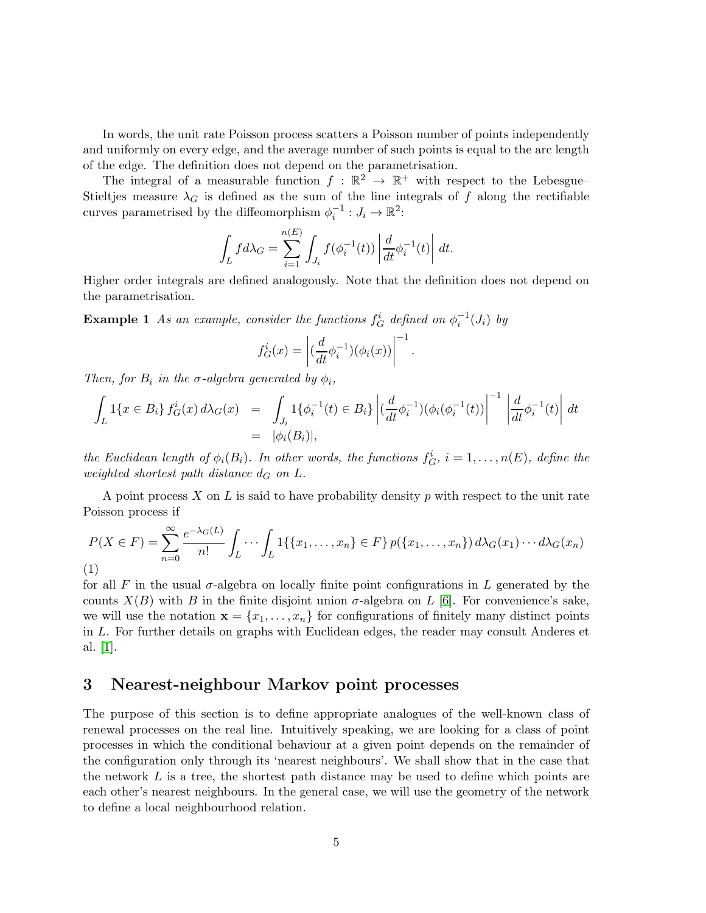In words, the unit rate Poisson process scatters a Poisson number of points independently and uniformly on every edge, and the average number of such points is equal to the arc length of the edge. The definition does not depend on the parametrisation.

The integral of a measurable function  $f : \mathbb{R}^2 \to \mathbb{R}^+$  with respect to the Lebesgue– Stieltjes measure  $\lambda_G$  is defined as the sum of the line integrals of f along the rectifiable curves parametrised by the diffeomorphism  $\phi_i^{-1}: J_i \to \mathbb{R}^2$ :

$$
\int_L f d\lambda_G = \sum_{i=1}^{n(E)} \int_{J_i} f(\phi_i^{-1}(t)) \left| \frac{d}{dt} \phi_i^{-1}(t) \right| dt.
$$

Higher order integrals are defined analogously. Note that the definition does not depend on the parametrisation.

**Example 1** As an example, consider the functions  $f_G^i$  defined on  $\phi_i^{-1}(J_i)$  by

$$
f_G^i(x) = \left| \left( \frac{d}{dt} \phi_i^{-1} \right) (\phi_i(x)) \right|^{-1}
$$

.

Then, for  $B_i$  in the  $\sigma$ -algebra generated by  $\phi_i$ ,

$$
\int_{L} 1\{x \in B_{i}\} f_{G}^{i}(x) d\lambda_{G}(x) = \int_{J_{i}} 1\{\phi_{i}^{-1}(t) \in B_{i}\} \left| \left(\frac{d}{dt} \phi_{i}^{-1}\right) (\phi_{i}(\phi_{i}^{-1}(t)) \right|^{-1} \left| \frac{d}{dt} \phi_{i}^{-1}(t) \right| dt
$$
\n
$$
= |\phi_{i}(B_{i})|,
$$

the Euclidean length of  $\phi_i(B_i)$ . In other words, the functions  $f_G^i$ ,  $i = 1, \ldots, n(E)$ , define the weighted shortest path distance  $d_G$  on  $L$ .

A point process X on L is said to have probability density p with respect to the unit rate Poisson process if

<span id="page-4-1"></span>
$$
P(X \in F) = \sum_{n=0}^{\infty} \frac{e^{-\lambda_G(L)}}{n!} \int_L \cdots \int_L 1\{\{x_1, \ldots, x_n\} \in F\} p(\{x_1, \ldots, x_n\}) d\lambda_G(x_1) \cdots d\lambda_G(x_n)
$$
\n(1)

for all F in the usual  $\sigma$ -algebra on locally finite point configurations in L generated by the counts  $X(B)$  with B in the finite disjoint union  $\sigma$ -algebra on L [\[6\]](#page-16-1). For convenience's sake, we will use the notation  $\mathbf{x} = \{x_1, \ldots, x_n\}$  for configurations of finitely many distinct points in L. For further details on graphs with Euclidean edges, the reader may consult Anderes et al. [\[1\]](#page-16-4).

## <span id="page-4-0"></span>3 Nearest-neighbour Markov point processes

The purpose of this section is to define appropriate analogues of the well-known class of renewal processes on the real line. Intuitively speaking, we are looking for a class of point processes in which the conditional behaviour at a given point depends on the remainder of the configuration only through its 'nearest neighbours'. We shall show that in the case that the network  $L$  is a tree, the shortest path distance may be used to define which points are each other's nearest neighbours. In the general case, we will use the geometry of the network to define a local neighbourhood relation.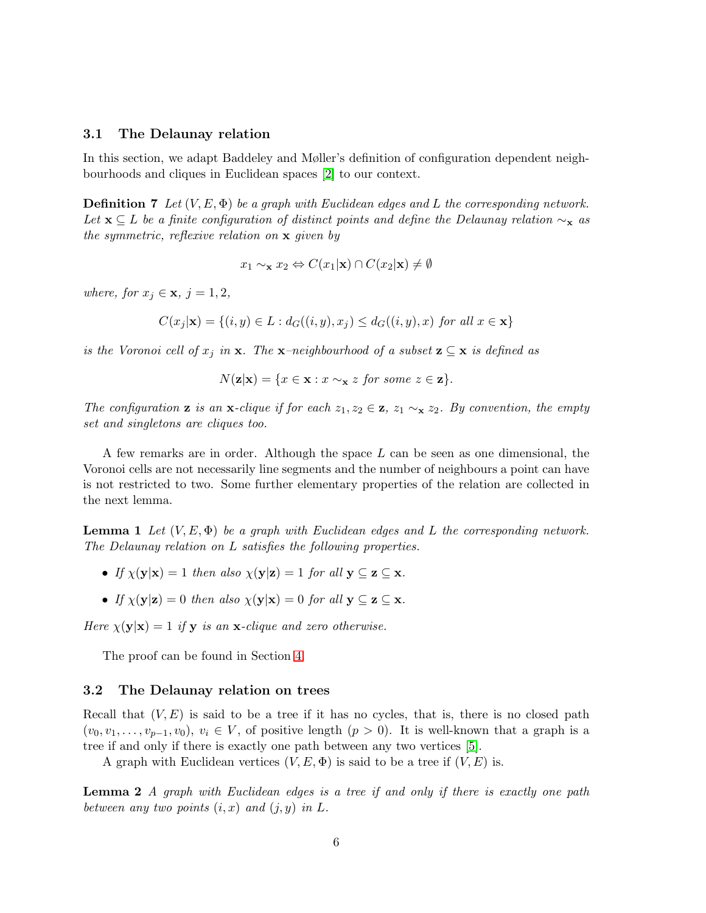### 3.1 The Delaunay relation

In this section, we adapt Baddeley and Møller's definition of configuration dependent neighbourhoods and cliques in Euclidean spaces [\[2\]](#page-16-5) to our context.

**Definition 7** Let  $(V, E, \Phi)$  be a graph with Euclidean edges and L the corresponding network. Let  $\mathbf{x} \subseteq L$  be a finite configuration of distinct points and define the Delaunay relation  $\sim_{\mathbf{x}}$  as the symmetric, reflexive relation on x given by

$$
x_1 \sim_{\mathbf{x}} x_2 \Leftrightarrow C(x_1|\mathbf{x}) \cap C(x_2|\mathbf{x}) \neq \emptyset
$$

where, for  $x_j \in \mathbf{x}, j = 1, 2$ ,

$$
C(x_j|\mathbf{x}) = \{(i, y) \in L : d_G((i, y), x_j) \le d_G((i, y), x) \text{ for all } x \in \mathbf{x}\}\
$$

is the Voronoi cell of  $x_j$  in  $x$ . The  $x$ -neighbourhood of a subset  $z \subseteq x$  is defined as

$$
N(\mathbf{z}|\mathbf{x}) = \{x \in \mathbf{x} : x \sim_{\mathbf{x}} z \text{ for some } z \in \mathbf{z}\}.
$$

The configuration **z** is an **x**-clique if for each  $z_1, z_2 \in \mathbf{z}$ ,  $z_1 \sim_{\mathbf{x}} z_2$ . By convention, the empty set and singletons are cliques too.

A few remarks are in order. Although the space L can be seen as one dimensional, the Voronoi cells are not necessarily line segments and the number of neighbours a point can have is not restricted to two. Some further elementary properties of the relation are collected in the next lemma.

<span id="page-5-1"></span>**Lemma 1** Let  $(V, E, \Phi)$  be a graph with Euclidean edges and L the corresponding network. The Delaunay relation on L satisfies the following properties.

- If  $\chi(\mathbf{y}|\mathbf{x}) = 1$  then also  $\chi(\mathbf{y}|\mathbf{z}) = 1$  for all  $\mathbf{y} \subseteq \mathbf{z} \subseteq \mathbf{x}$ .
- If  $\chi(\mathbf{y}|\mathbf{z}) = 0$  then also  $\chi(\mathbf{y}|\mathbf{x}) = 0$  for all  $\mathbf{y} \subset \mathbf{z} \subset \mathbf{x}$ .

Here  $\chi(\mathbf{y}|\mathbf{x}) = 1$  if **y** is an **x**-clique and zero otherwise.

The proof can be found in Section [4.](#page-9-0)

### 3.2 The Delaunay relation on trees

Recall that  $(V, E)$  is said to be a tree if it has no cycles, that is, there is no closed path  $(v_0, v_1, \ldots, v_{p-1}, v_0), v_i \in V$ , of positive length  $(p > 0)$ . It is well-known that a graph is a tree if and only if there is exactly one path between any two vertices [\[5\]](#page-16-7).

<span id="page-5-0"></span>A graph with Euclidean vertices  $(V, E, \Phi)$  is said to be a tree if  $(V, E)$  is.

**Lemma 2** A graph with Euclidean edges is a tree if and only if there is exactly one path between any two points  $(i, x)$  and  $(j, y)$  in L.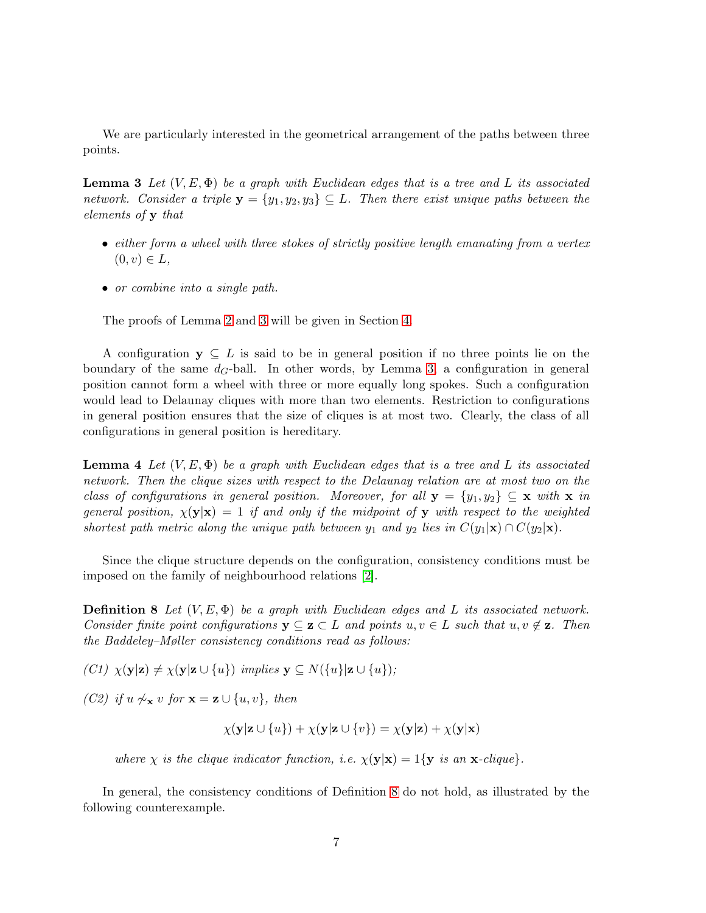<span id="page-6-0"></span>We are particularly interested in the geometrical arrangement of the paths between three points.

**Lemma 3** Let  $(V, E, \Phi)$  be a graph with Euclidean edges that is a tree and L its associated network. Consider a triple  $y = \{y_1, y_2, y_3\} \subseteq L$ . Then there exist unique paths between the elements of y that

- either form a wheel with three stokes of strictly positive length emanating from a vertex  $(0, v) \in L$ ,
- or combine into a single path.

The proofs of Lemma [2](#page-5-0) and [3](#page-6-0) will be given in Section [4.](#page-9-0)

A configuration  $y \subseteq L$  is said to be in general position if no three points lie on the boundary of the same  $d_G$ -ball. In other words, by Lemma [3,](#page-6-0) a configuration in general position cannot form a wheel with three or more equally long spokes. Such a configuration would lead to Delaunay cliques with more than two elements. Restriction to configurations in general position ensures that the size of cliques is at most two. Clearly, the class of all configurations in general position is hereditary.

<span id="page-6-3"></span>**Lemma 4** Let  $(V, E, \Phi)$  be a graph with Euclidean edges that is a tree and L its associated network. Then the clique sizes with respect to the Delaunay relation are at most two on the class of configurations in general position. Moreover, for all  $\mathbf{y} = \{y_1, y_2\} \subseteq \mathbf{x}$  with  $\mathbf{x}$  in general position,  $\chi(\mathbf{y}|\mathbf{x}) = 1$  if and only if the midpoint of y with respect to the weighted shortest path metric along the unique path between  $y_1$  and  $y_2$  lies in  $C(y_1|\mathbf{x}) \cap C(y_2|\mathbf{x})$ .

<span id="page-6-1"></span>Since the clique structure depends on the configuration, consistency conditions must be imposed on the family of neighbourhood relations [\[2\]](#page-16-5).

**Definition 8** Let  $(V, E, \Phi)$  be a graph with Euclidean edges and L its associated network. Consider finite point configurations  $y \subseteq z \subset L$  and points  $u, v \in L$  such that  $u, v \notin z$ . Then the Baddeley–Møller consistency conditions read as follows:

(C1)  $\chi(\mathbf{y}|\mathbf{z}) \neq \chi(\mathbf{y}|\mathbf{z} \cup \{u\})$  implies  $\mathbf{y} \subseteq N(\{u\}|\mathbf{z} \cup \{u\})$ ;

(C2) if  $u \not\sim_{\mathbf{x}} v$  for  $\mathbf{x} = \mathbf{z} \cup \{u, v\}$ , then

$$
\chi(\mathbf{y}|\mathbf{z}\cup\{u\}) + \chi(\mathbf{y}|\mathbf{z}\cup\{v\}) = \chi(\mathbf{y}|\mathbf{z}) + \chi(\mathbf{y}|\mathbf{x})
$$

where  $\chi$  is the clique indicator function, i.e.  $\chi(\mathbf{y}|\mathbf{x}) = 1$ {**y** is an **x**-clique}.

<span id="page-6-2"></span>In general, the consistency conditions of Definition [8](#page-6-1) do not hold, as illustrated by the following counterexample.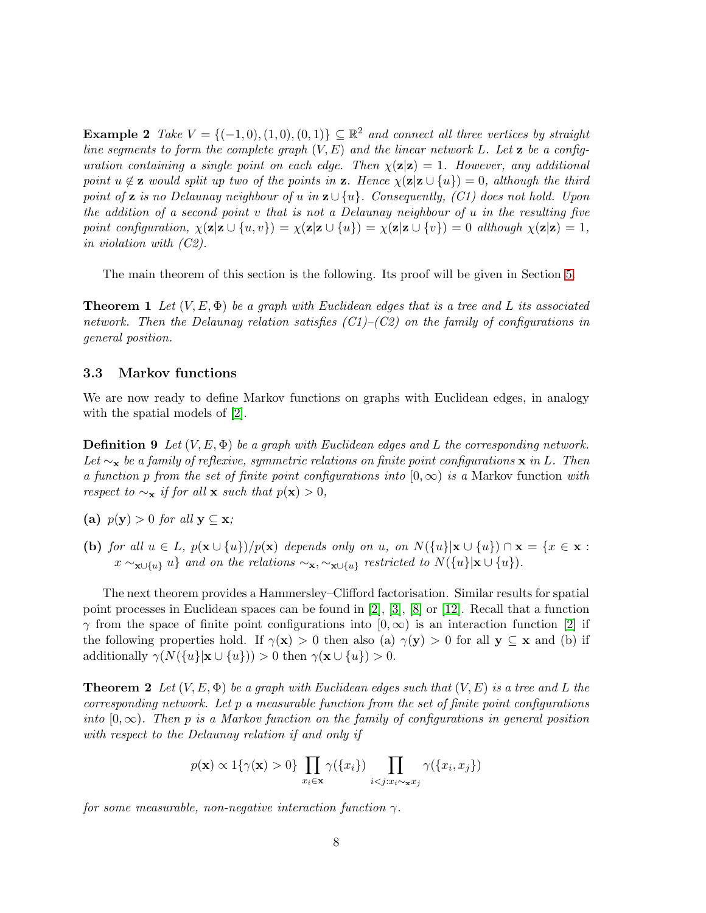**Example 2** Take  $V = \{(-1,0), (1,0), (0,1)\} \subseteq \mathbb{R}^2$  and connect all three vertices by straight line segments to form the complete graph  $(V, E)$  and the linear network L. Let **z** be a configuration containing a single point on each edge. Then  $\chi(\mathbf{z}|\mathbf{z}) = 1$ . However, any additional point  $u \notin \mathbf{z}$  would split up two of the points in  $\mathbf{z}$ . Hence  $\chi(\mathbf{z}|\mathbf{z} \cup \{u\}) = 0$ , although the third point of **z** is no Delaunay neighbour of u in  $\mathbf{z} \cup \{u\}$ . Consequently, (C1) does not hold. Upon the addition of a second point v that is not a Delaunay neighbour of u in the resulting five point configuration,  $\chi(\mathbf{z}|\mathbf{z} \cup \{u,v\}) = \chi(\mathbf{z}|\mathbf{z} \cup \{u\}) = \chi(\mathbf{z}|\mathbf{z} \cup \{v\}) = 0$  although  $\chi(\mathbf{z}|\mathbf{z}) = 1$ , in violation with (C2).

<span id="page-7-0"></span>The main theorem of this section is the following. Its proof will be given in Section [5.](#page-12-0)

**Theorem 1** Let  $(V, E, \Phi)$  be a graph with Euclidean edges that is a tree and L its associated network. Then the Delaunay relation satisfies  $(C1)$ – $(C2)$  on the family of configurations in general position.

### 3.3 Markov functions

We are now ready to define Markov functions on graphs with Euclidean edges, in analogy with the spatial models of  $[2]$ .

**Definition 9** Let  $(V, E, \Phi)$  be a graph with Euclidean edges and L the corresponding network. Let  $\sim_{\mathbf{x}}$  be a family of reflexive, symmetric relations on finite point configurations  $\mathbf{x}$  in L. Then a function p from the set of finite point configurations into  $[0,\infty)$  is a Markov function with respect to  $\sim_{\mathbf{x}}$  if for all x such that  $p(\mathbf{x}) > 0$ ,

- (a)  $p(y) > 0$  for all  $y \subseteq x$ ;
- (b) for all  $u \in L$ ,  $p(\mathbf{x} \cup \{u\})/p(\mathbf{x})$  depends only on u, on  $N(\{u\}|\mathbf{x} \cup \{u\}) \cap \mathbf{x} = \{x \in \mathbf{x} :$  $x \sim_{\mathbf{x} \cup \{u\}} u$  and on the relations  $\sim_{\mathbf{x}, \sim_{\mathbf{x} \cup \{u\}} r$  restricted to  $N(\{u\}|\mathbf{x} \cup \{u\})$ .

The next theorem provides a Hammersley–Clifford factorisation. Similar results for spatial point processes in Euclidean spaces can be found in [\[2\]](#page-16-5), [\[3\]](#page-16-8), [\[8\]](#page-16-9) or [\[12\]](#page-16-10). Recall that a function  $\gamma$  from the space of finite point configurations into  $[0,\infty)$  is an interaction function [\[2\]](#page-16-5) if the following properties hold. If  $\gamma(x) > 0$  then also (a)  $\gamma(y) > 0$  for all  $y \subseteq x$  and (b) if additionally  $\gamma(N({\{u\}}|\mathbf{x} \cup {\{u\}})) > 0$  then  $\gamma(\mathbf{x} \cup {\{u\}}) > 0$ .

<span id="page-7-1"></span>**Theorem 2** Let  $(V, E, \Phi)$  be a graph with Euclidean edges such that  $(V, E)$  is a tree and L the corresponding network. Let  $p$  a measurable function from the set of finite point configurations into  $[0,\infty)$ . Then p is a Markov function on the family of configurations in general position with respect to the Delaunay relation if and only if

$$
p(\mathbf{x}) \propto \mathbb{1}\{\gamma(\mathbf{x}) > 0\} \prod_{x_i \in \mathbf{x}} \gamma(\{x_i\}) \prod_{i < j: x_i \sim \mathbf{x} x_j} \gamma(\{x_i, x_j\})
$$

for some measurable, non-negative interaction function  $\gamma$ .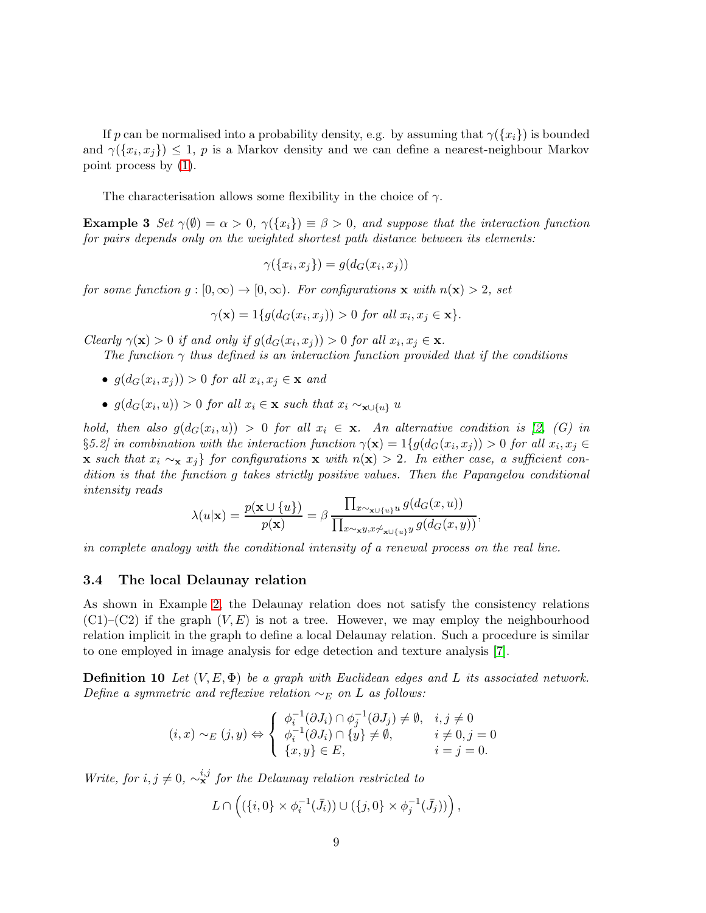If p can be normalised into a probability density, e.g. by assuming that  $\gamma({x_i})$  is bounded and  $\gamma(\lbrace x_i, x_j \rbrace) \leq 1$ , p is a Markov density and we can define a nearest-neighbour Markov point process by [\(1\)](#page-4-1).

The characterisation allows some flexibility in the choice of  $\gamma$ .

**Example 3** Set  $\gamma(\emptyset) = \alpha > 0$ ,  $\gamma(\lbrace x_i \rbrace) \equiv \beta > 0$ , and suppose that the interaction function for pairs depends only on the weighted shortest path distance between its elements:

$$
\gamma(\{x_i, x_j\}) = g(d_G(x_i, x_j))
$$

for some function  $g : [0, \infty) \to [0, \infty)$ . For configurations **x** with  $n(\mathbf{x}) > 2$ , set

$$
\gamma(\mathbf{x}) = 1\{g(d_G(x_i, x_j)) > 0 \text{ for all } x_i, x_j \in \mathbf{x}\}.
$$

Clearly  $\gamma(\mathbf{x}) > 0$  if and only if  $g(d_G(x_i, x_j)) > 0$  for all  $x_i, x_j \in \mathbf{x}$ .

The function  $\gamma$  thus defined is an interaction function provided that if the conditions

- $g(d_G(x_i, x_j)) > 0$  for all  $x_i, x_j \in \mathbf{x}$  and
- $g(d_G(x_i, u)) > 0$  for all  $x_i \in \mathbf{x}$  such that  $x_i \sim_{\mathbf{x} \cup \{u\}} u$

hold, then also  $g(d_G(x_i, u)) > 0$  for all  $x_i \in \mathbf{x}$ . An alternative condition is [\[2,](#page-16-5) (G) in  $\S 5.2$  in combination with the interaction function  $\gamma(\mathbf{x}) = 1\{g(d_G(x_i, x_j)) > 0$  for all  $x_i, x_j \in \mathbb{R}$ x such that  $x_i \sim_{\mathbf{x}} x_j$  for configurations x with  $n(\mathbf{x}) > 2$ . In either case, a sufficient condition is that the function g takes strictly positive values. Then the Papangelou conditional intensity reads

$$
\lambda(u|\mathbf{x}) = \frac{p(\mathbf{x} \cup \{u\})}{p(\mathbf{x})} = \beta \frac{\prod_{x \sim_{\mathbf{x} \cup \{u\}} u} g(d_G(x, u))}{\prod_{x \sim_{\mathbf{x}} y, x \not\sim_{\mathbf{x} \cup \{u\}} y} g(d_G(x, u))},
$$

in complete analogy with the conditional intensity of a renewal process on the real line.

### 3.4 The local Delaunay relation

As shown in Example [2,](#page-6-2) the Delaunay relation does not satisfy the consistency relations  $(C1)$ – $(C2)$  if the graph  $(V, E)$  is not a tree. However, we may employ the neighbourhood relation implicit in the graph to define a local Delaunay relation. Such a procedure is similar to one employed in image analysis for edge detection and texture analysis [\[7\]](#page-16-11).

**Definition 10** Let  $(V, E, \Phi)$  be a graph with Euclidean edges and L its associated network. Define a symmetric and reflexive relation  $\sim_E$  on L as follows:

$$
(i, x) \sim_E (j, y) \Leftrightarrow \begin{cases} \phi_i^{-1}(\partial J_i) \cap \phi_j^{-1}(\partial J_j) \neq \emptyset, & i, j \neq 0 \\ \phi_i^{-1}(\partial J_i) \cap \{y\} \neq \emptyset, & i \neq 0, j = 0 \\ \{x, y\} \in E, & i = j = 0. \end{cases}
$$

Write, for  $i, j \neq 0$ ,  $\sim_{\mathbf{x}}^{i,j}$  for the Delaunay relation restricted to

$$
L\cap \left((\{i,0\}\times \phi_i^{-1}(\bar{J}_i))\cup (\{j,0\}\times \phi_j^{-1}(\bar{J}_j))\right),\,
$$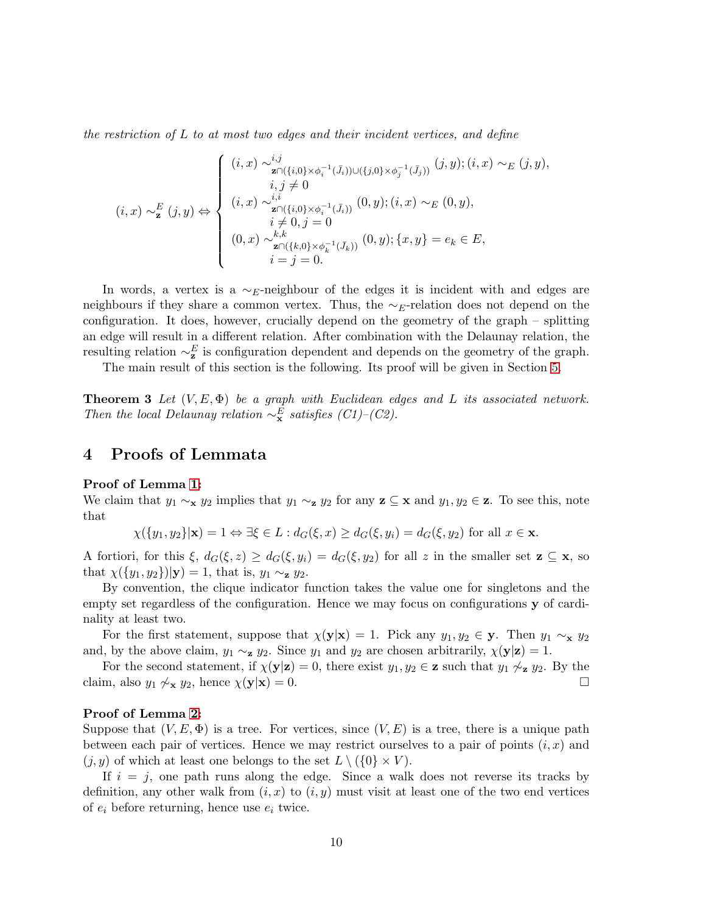the restriction of L to at most two edges and their incident vertices, and define

$$
(i, x) \sim_{\mathbf{z}}^{E} (j, y) \Leftrightarrow \begin{cases} (i, x) \sim_{\mathbf{z} \cap (\{i, 0\} \times \phi_{i}^{-1}(\bar{J}_{i})) \cup (\{j, 0\} \times \phi_{j}^{-1}(\bar{J}_{j}))} (j, y); (i, x) \sim_{E} (j, y), \\ i, j \neq 0 \\ (i, x) \sim_{\mathbf{z} \cap (\{i, 0\} \times \phi_{i}^{-1}(\bar{J}_{i}))} (0, y); (i, x) \sim_{E} (0, y), \\ i \neq 0, j = 0 \\ (0, x) \sim_{\mathbf{z} \cap (\{k, 0\} \times \phi_{k}^{-1}(\bar{J}_{k}))} (0, y); \{x, y\} = e_{k} \in E, \\ i = j = 0. \end{cases}
$$

In words, a vertex is a  $\sim$ E-neighbour of the edges it is incident with and edges are neighbours if they share a common vertex. Thus, the  $\sim_E$ -relation does not depend on the configuration. It does, however, crucially depend on the geometry of the graph – splitting an edge will result in a different relation. After combination with the Delaunay relation, the resulting relation  $\sim_z^E$  is configuration dependent and depends on the geometry of the graph.

<span id="page-9-1"></span>The main result of this section is the following. Its proof will be given in Section [5.](#page-12-0)

**Theorem 3** Let  $(V, E, \Phi)$  be a graph with Euclidean edges and L its associated network. Then the local Delaunay relation  $\sim_{\mathbf{x}}^E$  satisfies (C1)–(C2).

## <span id="page-9-0"></span>4 Proofs of Lemmata

#### Proof of Lemma [1:](#page-5-1)

We claim that  $y_1 \sim_x y_2$  implies that  $y_1 \sim_z y_2$  for any  $\mathbf{z} \subseteq \mathbf{x}$  and  $y_1, y_2 \in \mathbf{z}$ . To see this, note that

$$
\chi(\{y_1, y_2\}|\mathbf{x}) = 1 \Leftrightarrow \exists \xi \in L : d_G(\xi, x) \ge d_G(\xi, y_i) = d_G(\xi, y_2) \text{ for all } x \in \mathbf{x}.
$$

A fortiori, for this  $\xi$ ,  $d_G(\xi, z) \geq d_G(\xi, y_i) = d_G(\xi, y_2)$  for all z in the smaller set  $z \subseteq x$ , so that  $\chi({y_1, y_2})|\mathbf{y}) = 1$ , that is,  $y_1 \sim_\mathbf{z} y_2$ .

By convention, the clique indicator function takes the value one for singletons and the empty set regardless of the configuration. Hence we may focus on configurations y of cardinality at least two.

For the first statement, suppose that  $\chi(\mathbf{y}|\mathbf{x}) = 1$ . Pick any  $y_1, y_2 \in \mathbf{y}$ . Then  $y_1 \sim_{\mathbf{x}} y_2$ and, by the above claim,  $y_1 \sim_{\mathbf{z}} y_2$ . Since  $y_1$  and  $y_2$  are chosen arbitrarily,  $\chi(\mathbf{y}|\mathbf{z}) = 1$ .

For the second statement, if  $\chi(\mathbf{y}|\mathbf{z}) = 0$ , there exist  $y_1, y_2 \in \mathbf{z}$  such that  $y_1 \not\sim_{\mathbf{z}} y_2$ . By the claim, also  $y_1 \not\sim_{\mathbf{x}} y_2$ , hence  $\chi(\mathbf{y}|\mathbf{x}) = 0$ .

#### Proof of Lemma [2:](#page-5-0)

Suppose that  $(V, E, \Phi)$  is a tree. For vertices, since  $(V, E)$  is a tree, there is a unique path between each pair of vertices. Hence we may restrict ourselves to a pair of points  $(i, x)$  and  $(j, y)$  of which at least one belongs to the set  $L \setminus (\{0\} \times V)$ .

If  $i = j$ , one path runs along the edge. Since a walk does not reverse its tracks by definition, any other walk from  $(i, x)$  to  $(i, y)$  must visit at least one of the two end vertices of  $e_i$  before returning, hence use  $e_i$  twice.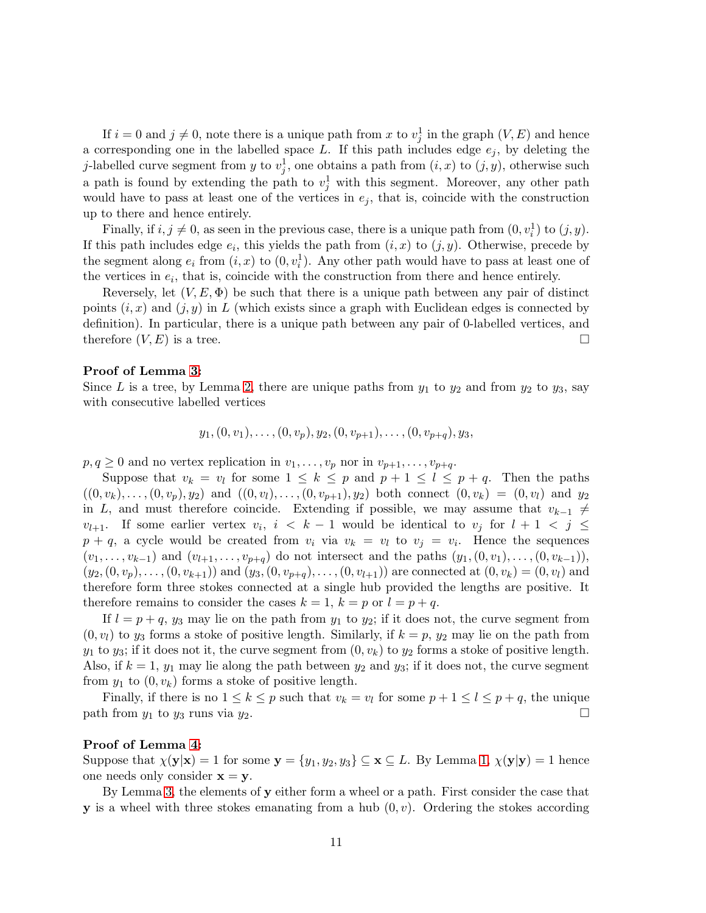If  $i = 0$  and  $j \neq 0$ , note there is a unique path from x to  $v_j^1$  in the graph  $(V, E)$  and hence a corresponding one in the labelled space L. If this path includes edge  $e_i$ , by deleting the j-labelled curve segment from y to  $v_j^1$ , one obtains a path from  $(i, x)$  to  $(j, y)$ , otherwise such a path is found by extending the path to  $v_j^1$  with this segment. Moreover, any other path would have to pass at least one of the vertices in  $e_j$ , that is, coincide with the construction up to there and hence entirely.

Finally, if  $i, j \neq 0$ , as seen in the previous case, there is a unique path from  $(0, v_i^1)$  to  $(j, y)$ . If this path includes edge  $e_i$ , this yields the path from  $(i, x)$  to  $(j, y)$ . Otherwise, precede by the segment along  $e_i$  from  $(i, x)$  to  $(0, v_i^1)$ . Any other path would have to pass at least one of the vertices in  $e_i$ , that is, coincide with the construction from there and hence entirely.

Reversely, let  $(V, E, \Phi)$  be such that there is a unique path between any pair of distinct points  $(i, x)$  and  $(j, y)$  in L (which exists since a graph with Euclidean edges is connected by definition). In particular, there is a unique path between any pair of 0-labelled vertices, and therefore  $(V, E)$  is a tree.

#### Proof of Lemma [3:](#page-6-0)

Since L is a tree, by Lemma [2,](#page-5-0) there are unique paths from  $y_1$  to  $y_2$  and from  $y_2$  to  $y_3$ , say with consecutive labelled vertices

$$
y_1, (0, v_1), \ldots, (0, v_p), y_2, (0, v_{p+1}), \ldots, (0, v_{p+q}), y_3,
$$

 $p, q \geq 0$  and no vertex replication in  $v_1, \ldots, v_p$  nor in  $v_{p+1}, \ldots, v_{p+q}$ .

Suppose that  $v_k = v_l$  for some  $1 \leq k \leq p$  and  $p + 1 \leq l \leq p + q$ . Then the paths  $((0, v_k), \ldots, (0, v_p), y_2)$  and  $((0, v_l), \ldots, (0, v_{p+1}), y_2)$  both connect  $(0, v_k) = (0, v_l)$  and  $y_2$ in L, and must therefore coincide. Extending if possible, we may assume that  $v_{k-1} \neq$  $v_{l+1}$ . If some earlier vertex  $v_i, i \leq k-1$  would be identical to  $v_j$  for  $l+1 \leq j \leq k-1$  $p + q$ , a cycle would be created from  $v_i$  via  $v_k = v_l$  to  $v_j = v_i$ . Hence the sequences  $(v_1, \ldots, v_{k-1})$  and  $(v_{l+1}, \ldots, v_{p+q})$  do not intersect and the paths  $(y_1, (0, v_1), \ldots, (0, v_{k-1})),$  $(y_2,(0, v_p), \ldots, (0, v_{k+1}))$  and  $(y_3,(0, v_{p+q}), \ldots, (0, v_{l+1}))$  are connected at  $(0, v_k) = (0, v_l)$  and therefore form three stokes connected at a single hub provided the lengths are positive. It therefore remains to consider the cases  $k = 1$ ,  $k = p$  or  $l = p + q$ .

If  $l = p + q$ ,  $y_3$  may lie on the path from  $y_1$  to  $y_2$ ; if it does not, the curve segment from  $(0, v_l)$  to  $y_3$  forms a stoke of positive length. Similarly, if  $k = p$ ,  $y_2$  may lie on the path from  $y_1$  to  $y_3$ ; if it does not it, the curve segment from  $(0, v_k)$  to  $y_2$  forms a stoke of positive length. Also, if  $k = 1$ ,  $y_1$  may lie along the path between  $y_2$  and  $y_3$ ; if it does not, the curve segment from  $y_1$  to  $(0, v_k)$  forms a stoke of positive length.

Finally, if there is no  $1 \leq k \leq p$  such that  $v_k = v_l$  for some  $p + 1 \leq l \leq p + q$ , the unique path from  $y_1$  to  $y_3$  runs via  $y_2$ .

#### Proof of Lemma [4:](#page-6-3)

Suppose that  $\chi(\mathbf{y}|\mathbf{x}) = 1$  for some  $\mathbf{y} = \{y_1, y_2, y_3\} \subseteq \mathbf{x} \subseteq L$ . By Lemma [1,](#page-5-1)  $\chi(\mathbf{y}|\mathbf{y}) = 1$  hence one needs only consider  $x = y$ .

By Lemma [3,](#page-6-0) the elements of y either form a wheel or a path. First consider the case that **y** is a wheel with three stokes emanating from a hub  $(0, v)$ . Ordering the stokes according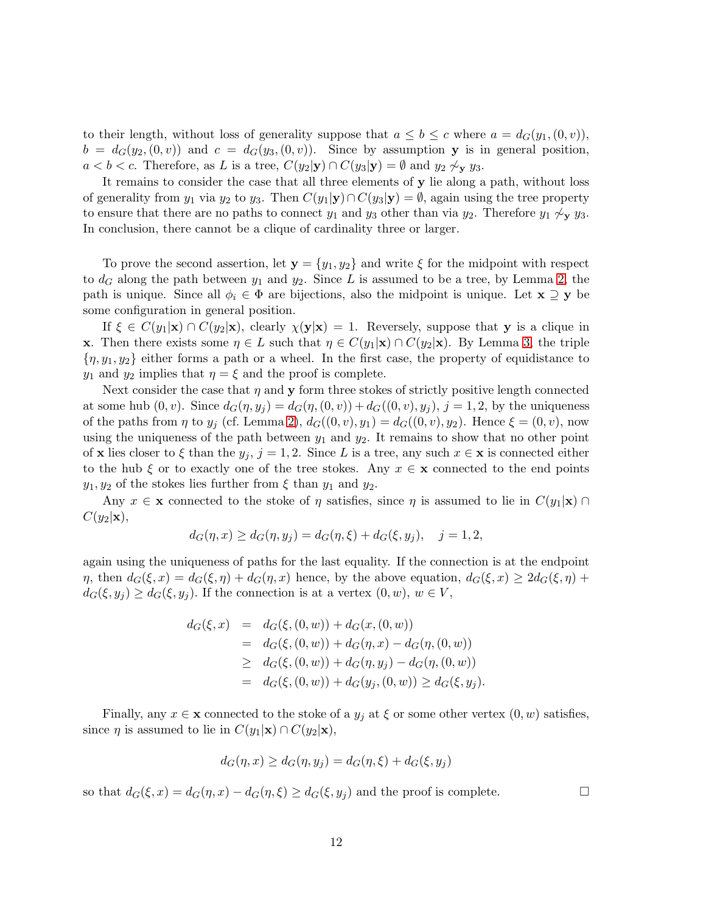to their length, without loss of generality suppose that  $a \leq b \leq c$  where  $a = d_G(y_1,(0,v))$ ,  $b = d_G(y_2,(0,v))$  and  $c = d_G(y_3,(0,v))$ . Since by assumption y is in general position,  $a < b < c$ . Therefore, as L is a tree,  $C(y_2|\mathbf{y}) \cap C(y_3|\mathbf{y}) = \emptyset$  and  $y_2 \not\sim_{\mathbf{y}} y_3$ .

It remains to consider the case that all three elements of y lie along a path, without loss of generality from  $y_1$  via  $y_2$  to  $y_3$ . Then  $C(y_1|\mathbf{y}) \cap C(y_3|\mathbf{y}) = \emptyset$ , again using the tree property to ensure that there are no paths to connect  $y_1$  and  $y_3$  other than via  $y_2$ . Therefore  $y_1 \not\sim_{\mathbf{v}} y_3$ . In conclusion, there cannot be a clique of cardinality three or larger.

To prove the second assertion, let  $y = \{y_1, y_2\}$  and write  $\xi$  for the midpoint with respect to  $d_G$  along the path between  $y_1$  and  $y_2$ . Since L is assumed to be a tree, by Lemma [2,](#page-5-0) the path is unique. Since all  $\phi_i \in \Phi$  are bijections, also the midpoint is unique. Let  $\mathbf{x} \supseteq \mathbf{y}$  be some configuration in general position.

If  $\xi \in C(y_1|\mathbf{x}) \cap C(y_2|\mathbf{x})$ , clearly  $\chi(\mathbf{y}|\mathbf{x}) = 1$ . Reversely, suppose that y is a clique in **x**. Then there exists some  $\eta \in L$  such that  $\eta \in C(y_1|\mathbf{x}) \cap C(y_2|\mathbf{x})$ . By Lemma [3,](#page-6-0) the triple  $\{\eta, y_1, y_2\}$  either forms a path or a wheel. In the first case, the property of equidistance to  $y_1$  and  $y_2$  implies that  $\eta = \xi$  and the proof is complete.

Next consider the case that  $\eta$  and y form three stokes of strictly positive length connected at some hub  $(0, v)$ . Since  $d_G(\eta, y_i) = d_G(\eta, (0, v)) + d_G((0, v), y_i), j = 1, 2$ , by the uniqueness of the paths from  $\eta$  to  $y_j$  (cf. Lemma [2\)](#page-5-0),  $d_G((0, v), y_1) = d_G((0, v), y_2)$ . Hence  $\xi = (0, v)$ , now using the uniqueness of the path between  $y_1$  and  $y_2$ . It remains to show that no other point of x lies closer to  $\xi$  than the  $y_j$ ,  $j = 1, 2$ . Since L is a tree, any such  $x \in \mathbf{x}$  is connected either to the hub  $\xi$  or to exactly one of the tree stokes. Any  $x \in \mathbf{x}$  connected to the end points  $y_1, y_2$  of the stokes lies further from  $\xi$  than  $y_1$  and  $y_2$ .

Any  $x \in \mathbf{x}$  connected to the stoke of  $\eta$  satisfies, since  $\eta$  is assumed to lie in  $C(y_1|\mathbf{x}) \cap$  $C(y_2|\mathbf{x}),$ 

$$
d_G(\eta, x) \ge d_G(\eta, y_j) = d_G(\eta, \xi) + d_G(\xi, y_j), \quad j = 1, 2,
$$

again using the uniqueness of paths for the last equality. If the connection is at the endpoint  $\eta$ , then  $d_G(\xi, x) = d_G(\xi, \eta) + d_G(\eta, x)$  hence, by the above equation,  $d_G(\xi, x) \geq 2d_G(\xi, \eta) + d_G(\xi, \eta)$  $d_G(\xi, y_j) \geq d_G(\xi, y_j)$ . If the connection is at a vertex  $(0, w)$ ,  $w \in V$ ,

$$
d_G(\xi, x) = d_G(\xi, (0, w)) + d_G(x, (0, w))
$$
  
=  $d_G(\xi, (0, w)) + d_G(\eta, x) - d_G(\eta, (0, w))$   
 $\geq d_G(\xi, (0, w)) + d_G(\eta, y_j) - d_G(\eta, (0, w))$   
=  $d_G(\xi, (0, w)) + d_G(y_j, (0, w)) \geq d_G(\xi, y_j)$ 

Finally, any  $x \in \mathbf{x}$  connected to the stoke of a  $y_j$  at  $\xi$  or some other vertex  $(0, w)$  satisfies, since  $\eta$  is assumed to lie in  $C(y_1|\mathbf{x}) \cap C(y_2|\mathbf{x}),$ 

$$
d_G(\eta, x) \ge d_G(\eta, y_j) = d_G(\eta, \xi) + d_G(\xi, y_j)
$$

so that  $d_G(\xi, x) = d_G(\eta, x) - d_G(\eta, \xi) \ge d_G(\xi, y_i)$  and the proof is complete.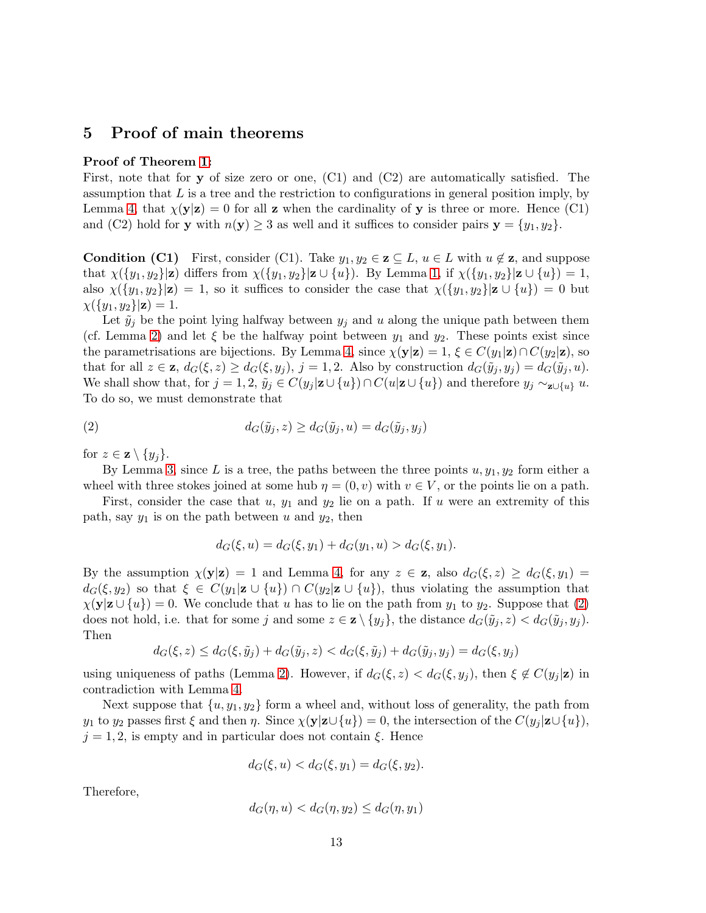## <span id="page-12-0"></span>5 Proof of main theorems

### Proof of Theorem [1:](#page-7-0)

First, note that for y of size zero or one, (C1) and (C2) are automatically satisfied. The assumption that  $L$  is a tree and the restriction to configurations in general position imply, by Lemma [4,](#page-6-3) that  $\chi(\mathbf{y}|\mathbf{z}) = 0$  for all **z** when the cardinality of **y** is three or more. Hence (C1) and (C2) hold for **y** with  $n(y) \ge 3$  as well and it suffices to consider pairs  $y = \{y_1, y_2\}$ .

**Condition (C1)** First, consider (C1). Take  $y_1, y_2 \in \mathbf{z} \subseteq L$ ,  $u \in L$  with  $u \notin \mathbf{z}$ , and suppose that  $\chi({y_1, y_2}|\mathbf{z})$  differs from  $\chi({y_1, y_2}|\mathbf{z} \cup {u})$ . By Lemma [1,](#page-5-1) if  $\chi({y_1, y_2}|\mathbf{z} \cup {u}) = 1$ , also  $\chi(\{y_1, y_2\}|\mathbf{z}) = 1$ , so it suffices to consider the case that  $\chi(\{y_1, y_2\}|\mathbf{z} \cup \{u\}) = 0$  but  $\chi(\{y_1, y_2\}|\mathbf{z}) = 1.$ 

Let  $\tilde{y}_i$  be the point lying halfway between  $y_i$  and u along the unique path between them (cf. Lemma [2\)](#page-5-0) and let  $\xi$  be the halfway point between  $y_1$  and  $y_2$ . These points exist since the parametrisations are bijections. By Lemma [4,](#page-6-3) since  $\chi(\mathbf{y}|\mathbf{z}) = 1$ ,  $\xi \in C(y_1|\mathbf{z}) \cap C(y_2|\mathbf{z})$ , so that for all  $z \in \mathbf{z}$ ,  $d_G(\xi, z) \geq d_G(\xi, y_j)$ ,  $j = 1, 2$ . Also by construction  $d_G(\tilde{y}_j, y_j) = d_G(\tilde{y}_j, u)$ . We shall show that, for  $j = 1, 2, \tilde{y}_j \in C(y_j | \mathbf{z} \cup \{u\}) \cap C(u | \mathbf{z} \cup \{u\})$  and therefore  $y_j \sim_{\mathbf{z} \cup \{u\}} u$ . To do so, we must demonstrate that

(2) 
$$
d_G(\tilde{y}_j, z) \ge d_G(\tilde{y}_j, u) = d_G(\tilde{y}_j, y_j)
$$

for  $z \in \mathbf{z} \setminus \{y_i\}.$ 

By Lemma [3,](#page-6-0) since L is a tree, the paths between the three points  $u, y_1, y_2$  form either a wheel with three stokes joined at some hub  $\eta = (0, v)$  with  $v \in V$ , or the points lie on a path.

First, consider the case that u,  $y_1$  and  $y_2$  lie on a path. If u were an extremity of this path, say  $y_1$  is on the path between u and  $y_2$ , then

<span id="page-12-1"></span>
$$
d_G(\xi, u) = d_G(\xi, y_1) + d_G(y_1, u) > d_G(\xi, y_1).
$$

By the assumption  $\chi(\mathbf{y}|\mathbf{z}) = 1$  and Lemma [4,](#page-6-3) for any  $z \in \mathbf{z}$ , also  $d_G(\xi, z) \geq d_G(\xi, y_1) =$  $d_G(\xi, y_2)$  so that  $\xi \in C(y_1|\mathbf{z} \cup \{u\}) \cap C(y_2|\mathbf{z} \cup \{u\})$ , thus violating the assumption that  $\chi(\mathbf{y}|\mathbf{z} \cup \{u\}) = 0$ . We conclude that u has to lie on the path from  $y_1$  to  $y_2$ . Suppose that [\(2\)](#page-12-1) does not hold, i.e. that for some j and some  $z \in \mathbf{z} \setminus \{y_j\}$ , the distance  $d_G(\tilde{y}_j, z) < d_G(\tilde{y}_j, y_j)$ . Then

$$
d_G(\xi, z) \le d_G(\xi, \tilde{y}_j) + d_G(\tilde{y}_j, z) < d_G(\xi, \tilde{y}_j) + d_G(\tilde{y}_j, y_j) = d_G(\xi, y_j)
$$

using uniqueness of paths (Lemma [2\)](#page-5-0). However, if  $d_G(\xi, z) < d_G(\xi, y_i)$ , then  $\xi \notin C(y_i | \mathbf{z})$  in contradiction with Lemma [4.](#page-6-3)

Next suppose that  $\{u, y_1, y_2\}$  form a wheel and, without loss of generality, the path from  $y_1$  to  $y_2$  passes first  $\xi$  and then  $\eta$ . Since  $\chi(\mathbf{y}|\mathbf{z}\cup\{u\})=0$ , the intersection of the  $C(y_i|\mathbf{z}\cup\{u\})$ ,  $j = 1, 2$ , is empty and in particular does not contain  $\xi$ . Hence

$$
d_G(\xi, u) < d_G(\xi, y_1) = d_G(\xi, y_2).
$$

Therefore,

$$
d_G(\eta, u) < d_G(\eta, y_2) \leq d_G(\eta, y_1)
$$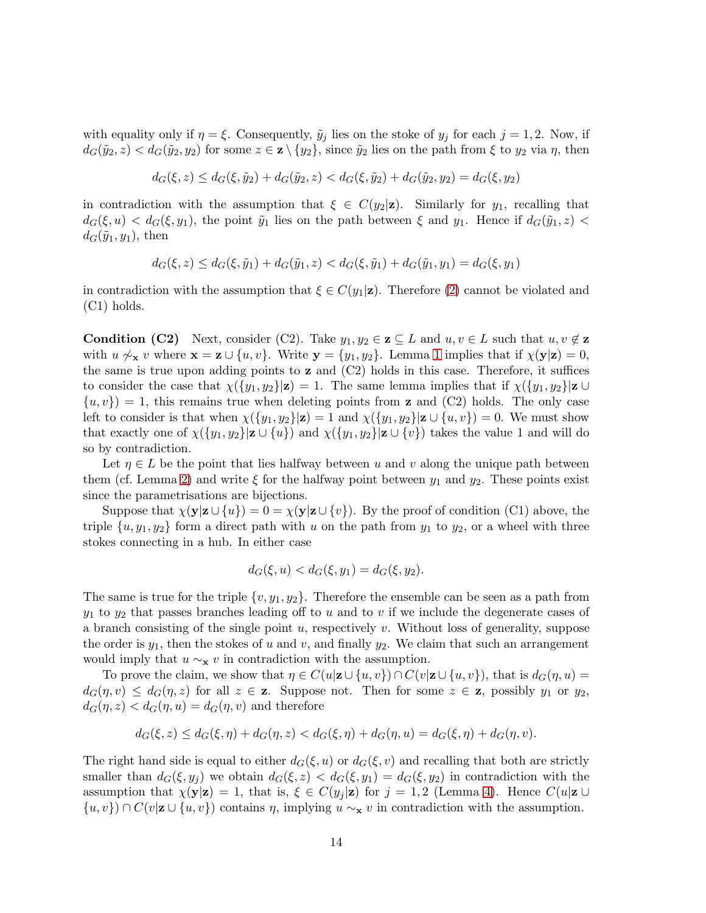with equality only if  $\eta = \xi$ . Consequently,  $\tilde{y}_j$  lies on the stoke of  $y_j$  for each  $j = 1, 2$ . Now, if  $d_G(\tilde{y}_2, z) < d_G(\tilde{y}_2, y_2)$  for some  $z \in \mathbf{z} \setminus \{y_2\}$ , since  $\tilde{y}_2$  lies on the path from  $\xi$  to  $y_2$  via  $\eta$ , then

$$
d_G(\xi, z) \le d_G(\xi, \tilde{y}_2) + d_G(\tilde{y}_2, z) < d_G(\xi, \tilde{y}_2) + d_G(\tilde{y}_2, y_2) = d_G(\xi, y_2)
$$

in contradiction with the assumption that  $\xi \in C(y_2|\mathbf{z})$ . Similarly for  $y_1$ , recalling that  $d_G(\xi, u) < d_G(\xi, y_1)$ , the point  $\tilde{y}_1$  lies on the path between  $\xi$  and  $y_1$ . Hence if  $d_G(\tilde{y}_1, z)$  $d_G(\tilde{y}_1, y_1)$ , then

$$
d_G(\xi, z) \le d_G(\xi, \tilde{y}_1) + d_G(\tilde{y}_1, z) < d_G(\xi, \tilde{y}_1) + d_G(\tilde{y}_1, y_1) = d_G(\xi, y_1)
$$

in contradiction with the assumption that  $\xi \in C(y_1|\mathbf{z})$ . Therefore [\(2\)](#page-12-1) cannot be violated and (C1) holds.

**Condition (C2)** Next, consider (C2). Take  $y_1, y_2 \in \mathbf{z} \subseteq L$  and  $u, v \in L$  such that  $u, v \notin \mathbf{z}$ with  $u \nsim_{\mathbf{x}} v$  where  $\mathbf{x} = \mathbf{z} \cup \{u, v\}$ . Write  $\mathbf{y} = \{y_1, y_2\}$ . Lemma [1](#page-5-1) implies that if  $\chi(\mathbf{y}|\mathbf{z}) = 0$ , the same is true upon adding points to  $z$  and  $(C2)$  holds in this case. Therefore, it suffices to consider the case that  $\chi(\{y_1, y_2\}|\mathbf{z}) = 1$ . The same lemma implies that if  $\chi(\{y_1, y_2\}|\mathbf{z} \cup \mathbf{z})$  $\{u, v\}$  = 1, this remains true when deleting points from **z** and (C2) holds. The only case left to consider is that when  $\chi({y_1, y_2}|\mathbf{z}) = 1$  and  $\chi({y_1, y_2}|\mathbf{z} \cup {u, v}) = 0$ . We must show that exactly one of  $\chi({y_1,y_2}|\mathbf{z} \cup {u})$  and  $\chi({y_1,y_2}|\mathbf{z} \cup {v})$  takes the value 1 and will do so by contradiction.

Let  $\eta \in L$  be the point that lies halfway between u and v along the unique path between them (cf. Lemma [2\)](#page-5-0) and write  $\xi$  for the halfway point between  $y_1$  and  $y_2$ . These points exist since the parametrisations are bijections.

Suppose that  $\chi(\mathbf{y}|\mathbf{z} \cup \{u\}) = 0 = \chi(\mathbf{y}|\mathbf{z} \cup \{v\})$ . By the proof of condition (C1) above, the triple  $\{u, y_1, y_2\}$  form a direct path with u on the path from  $y_1$  to  $y_2$ , or a wheel with three stokes connecting in a hub. In either case

$$
d_G(\xi, u) < d_G(\xi, y_1) = d_G(\xi, y_2).
$$

The same is true for the triple  $\{v, y_1, y_2\}$ . Therefore the ensemble can be seen as a path from  $y_1$  to  $y_2$  that passes branches leading off to u and to v if we include the degenerate cases of a branch consisting of the single point  $u$ , respectively  $v$ . Without loss of generality, suppose the order is  $y_1$ , then the stokes of u and v, and finally  $y_2$ . We claim that such an arrangement would imply that  $u \sim_{\mathbf{x}} v$  in contradiction with the assumption.

To prove the claim, we show that  $\eta \in C(u|\mathbf{z} \cup \{u,v\}) \cap C(v|\mathbf{z} \cup \{u,v\})$ , that is  $d_G(\eta, u) =$  $d_G(\eta, v) \leq d_G(\eta, z)$  for all  $z \in \mathbf{z}$ . Suppose not. Then for some  $z \in \mathbf{z}$ , possibly  $y_1$  or  $y_2$ ,  $d_G(\eta, z) < d_G(\eta, u) = d_G(\eta, v)$  and therefore

$$
d_G(\xi, z) \le d_G(\xi, \eta) + d_G(\eta, z) < d_G(\xi, \eta) + d_G(\eta, u) = d_G(\xi, \eta) + d_G(\eta, v).
$$

The right hand side is equal to either  $d_G(\xi, u)$  or  $d_G(\xi, v)$  and recalling that both are strictly smaller than  $d_G(\xi, y_j)$  we obtain  $d_G(\xi, z) < d_G(\xi, y_1) = d_G(\xi, y_2)$  in contradiction with the assumption that  $\chi(\mathbf{y}|\mathbf{z}) = 1$ , that is,  $\xi \in C(y_i|\mathbf{z})$  for  $j = 1, 2$  (Lemma [4\)](#page-6-3). Hence  $C(u|\mathbf{z} \cup$  $\{u, v\} \cap C(v|\mathbf{z} \cup \{u, v\})$  contains  $\eta$ , implying  $u \sim_{\mathbf{x}} v$  in contradiction with the assumption.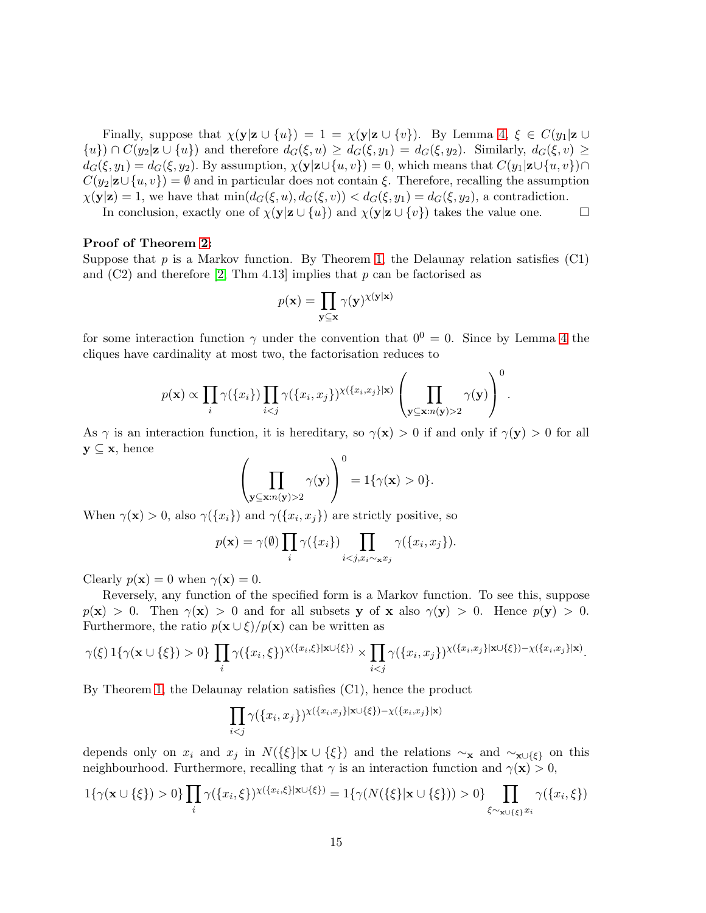Finally, suppose that  $\chi(\mathbf{y}|\mathbf{z} \cup \{u\}) = 1 = \chi(\mathbf{y}|\mathbf{z} \cup \{v\})$ . By Lemma [4,](#page-6-3)  $\xi \in C(y_1|\mathbf{z} \cup \{v\})$ .  $\{u\} \cap C(y_2|\mathbf{z} \cup \{u\})$  and therefore  $d_G(\xi, u) \geq d_G(\xi, y_1) = d_G(\xi, y_2)$ . Similarly,  $d_G(\xi, v) \geq$  $d_G(\xi, y_1) = d_G(\xi, y_2)$ . By assumption,  $\chi(\mathbf{y}|\mathbf{z}\cup\{u,v\}) = 0$ , which means that  $C(y_1|\mathbf{z}\cup\{u,v\}) \cap$  $C(y_2|\mathbf{z}\cup\{u,v\})=\emptyset$  and in particular does not contain  $\xi$ . Therefore, recalling the assumption  $\chi(\mathbf{y}|\mathbf{z}) = 1$ , we have that  $\min(d_G(\xi, u), d_G(\xi, v)) < d_G(\xi, y_1) = d_G(\xi, y_2)$ , a contradiction.

In conclusion, exactly one of  $\chi(\mathbf{y}|\mathbf{z} \cup \{u\})$  and  $\chi(\mathbf{y}|\mathbf{z} \cup \{v\})$  takes the value one.

#### Proof of Theorem [2:](#page-7-1)

Suppose that  $p$  is a Markov function. By Theorem [1,](#page-7-0) the Delaunay relation satisfies  $(C1)$ and  $(C2)$  and therefore [\[2,](#page-16-5) Thm 4.13] implies that p can be factorised as

$$
p(\mathbf{x}) = \prod_{\mathbf{y} \subseteq \mathbf{x}} \gamma(\mathbf{y})^{\chi(\mathbf{y}|\mathbf{x})}
$$

for some interaction function  $\gamma$  under the convention that  $0^0 = 0$ . Since by Lemma [4](#page-6-3) the cliques have cardinality at most two, the factorisation reduces to

$$
p(\mathbf{x}) \propto \prod_i \gamma(\{x_i\}) \prod_{i < j} \gamma(\{x_i, x_j\})^{\chi(\{x_i, x_j\} | \mathbf{x})} \left(\prod_{\mathbf{y} \subseteq \mathbf{x}: n(\mathbf{y}) > 2} \gamma(\mathbf{y})\right)^0.
$$

As  $\gamma$  is an interaction function, it is hereditary, so  $\gamma(\mathbf{x}) > 0$  if and only if  $\gamma(\mathbf{y}) > 0$  for all  $y \subseteq x$ , hence

$$
\left(\prod_{\mathbf{y}\subseteq\mathbf{x}:n(\mathbf{y})>2}\gamma(\mathbf{y})\right)^0=1\{\gamma(\mathbf{x})>0\}.
$$

When  $\gamma(\mathbf{x}) > 0$ , also  $\gamma(\{x_i\})$  and  $\gamma(\{x_i, x_j\})$  are strictly positive, so

$$
p(\mathbf{x}) = \gamma(\emptyset) \prod_i \gamma(\{x_i\}) \prod_{i < j, x_i \sim \mathbf{x} x_j} \gamma(\{x_i, x_j\}).
$$

Clearly  $p(\mathbf{x}) = 0$  when  $\gamma(\mathbf{x}) = 0$ .

Reversely, any function of the specified form is a Markov function. To see this, suppose  $p(x) > 0$ . Then  $\gamma(x) > 0$  and for all subsets y of x also  $\gamma(y) > 0$ . Hence  $p(y) > 0$ . Furthermore, the ratio  $p(\mathbf{x} \cup \xi)/p(\mathbf{x})$  can be written as

$$
\gamma(\xi)\mathbf{1}\{\gamma(\mathbf{x}\cup\{\xi\})>0\}\prod_i\gamma(\{x_i,\xi\})^{\chi(\{x_i,\xi\}\vert\mathbf{x}\cup\{\xi\})}\times\prod_{i
$$

By Theorem [1,](#page-7-0) the Delaunay relation satisfies (C1), hence the product

$$
\prod_{i
$$

depends only on  $x_i$  and  $x_j$  in  $N({\{\xi\}}|\mathbf{x} \cup {\{\xi\}})$  and the relations  $\sim_{\mathbf{x}}$  and  $\sim_{\mathbf{x}\cup{\{\xi\}}}$  on this neighbourhood. Furthermore, recalling that  $\gamma$  is an interaction function and  $\gamma(\mathbf{x}) > 0$ ,

$$
1\{\gamma(\mathbf{x}\cup\{\xi\})>0\}\prod_{i}\gamma(\{x_i,\xi\})^{\chi(\{x_i,\xi\}|\mathbf{x}\cup\{\xi\})}=1\{\gamma(N(\{\xi\}|\mathbf{x}\cup\{\xi\}))>0\}\prod_{\xi\sim_{\mathbf{x}\cup\{\xi\}}x_i}\gamma(\{x_i,\xi\})
$$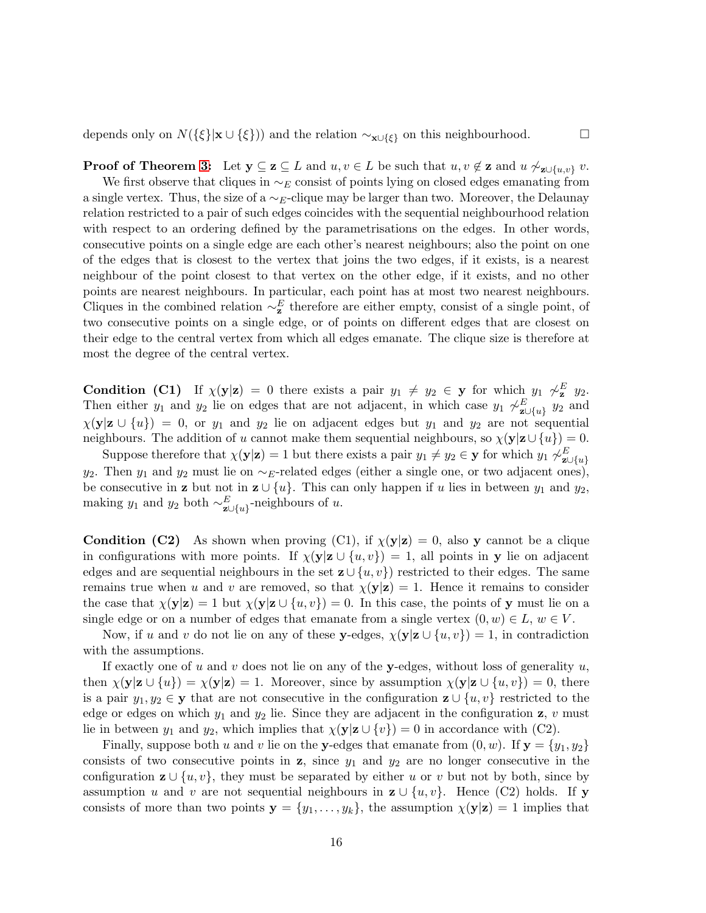depends only on  $N({\{\xi\}}|\mathbf{x} \cup {\{\xi\}})$  and the relation  $\sim_{\mathbf{x}\cup{\{\xi\}}}$  on this neighbourhood.  $\Box$ 

**Proof of Theorem [3:](#page-9-1)** Let  $y \subseteq z \subseteq L$  and  $u, v \in L$  be such that  $u, v \notin z$  and  $u \not\sim_{z \cup \{u,v\}} v$ . We first observe that cliques in  $\sim_E$  consist of points lying on closed edges emanating from a single vertex. Thus, the size of a  $\sim_E$ -clique may be larger than two. Moreover, the Delaunay relation restricted to a pair of such edges coincides with the sequential neighbourhood relation with respect to an ordering defined by the parametrisations on the edges. In other words, consecutive points on a single edge are each other's nearest neighbours; also the point on one of the edges that is closest to the vertex that joins the two edges, if it exists, is a nearest neighbour of the point closest to that vertex on the other edge, if it exists, and no other points are nearest neighbours. In particular, each point has at most two nearest neighbours. Cliques in the combined relation  $\sim_z^E$  therefore are either empty, consist of a single point, of two consecutive points on a single edge, or of points on different edges that are closest on their edge to the central vertex from which all edges emanate. The clique size is therefore at most the degree of the central vertex.

**Condition** (C1) If  $\chi(\mathbf{y}|\mathbf{z}) = 0$  there exists a pair  $y_1 \neq y_2 \in \mathbf{y}$  for which  $y_1 \not\sim^E_{\mathbf{z}} y_2$ . Then either y<sub>1</sub> and y<sub>2</sub> lie on edges that are not adjacent, in which case y<sub>1</sub>  $\sim_{\mathbf{z}\cup\{u\}}^E$  y<sub>2</sub> and  $\chi(\mathbf{y}|\mathbf{z} \cup \{u\}) = 0$ , or  $y_1$  and  $y_2$  lie on adjacent edges but  $y_1$  and  $y_2$  are not sequential neighbours. The addition of u cannot make them sequential neighbours, so  $\chi(\mathbf{y}|\mathbf{z}\cup\{u\})=0$ .

Suppose therefore that  $\chi(\mathbf{y}|\mathbf{z}) = 1$  but there exists a pair  $y_1 \neq y_2 \in \mathbf{y}$  for which  $y_1 \not\sim^E_{\mathbf{z} \cup \{u\}}$ y<sub>2</sub>. Then y<sub>1</sub> and y<sub>2</sub> must lie on  $\sim_E$ -related edges (either a single one, or two adjacent ones), be consecutive in **z** but not in  $\mathbf{z} \cup \{u\}$ . This can only happen if u lies in between  $y_1$  and  $y_2$ , making  $y_1$  and  $y_2$  both  $\sim_{\mathbf{z} \cup \{u\}}^E$ -neighbours of  $u$ .

**Condition (C2)** As shown when proving (C1), if  $\chi(\mathbf{y}|\mathbf{z}) = 0$ , also y cannot be a clique in configurations with more points. If  $\chi(y|z \cup \{u, v\}) = 1$ , all points in y lie on adjacent edges and are sequential neighbours in the set  $\mathbf{z} \cup \{u, v\}$  restricted to their edges. The same remains true when u and v are removed, so that  $\chi(\mathbf{y}|\mathbf{z}) = 1$ . Hence it remains to consider the case that  $\chi(\mathbf{y}|\mathbf{z}) = 1$  but  $\chi(\mathbf{y}|\mathbf{z} \cup \{u, v\}) = 0$ . In this case, the points of y must lie on a single edge or on a number of edges that emanate from a single vertex  $(0, w) \in L$ ,  $w \in V$ .

Now, if u and v do not lie on any of these y-edges,  $\chi(y|z \cup \{u, v\}) = 1$ , in contradiction with the assumptions.

If exactly one of u and v does not lie on any of the y-edges, without loss of generality  $u$ , then  $\chi(\mathbf{y}|\mathbf{z} \cup \{u\}) = \chi(\mathbf{y}|\mathbf{z}) = 1$ . Moreover, since by assumption  $\chi(\mathbf{y}|\mathbf{z} \cup \{u,v\}) = 0$ , there is a pair  $y_1, y_2 \in \mathbf{y}$  that are not consecutive in the configuration  $\mathbf{z} \cup \{u, v\}$  restricted to the edge or edges on which  $y_1$  and  $y_2$  lie. Since they are adjacent in the configuration z, v must lie in between  $y_1$  and  $y_2$ , which implies that  $\chi(\mathbf{y}|\mathbf{z} \cup \{v\}) = 0$  in accordance with (C2).

Finally, suppose both u and v lie on the y-edges that emanate from  $(0, w)$ . If  $y = \{y_1, y_2\}$ consists of two consecutive points in z, since  $y_1$  and  $y_2$  are no longer consecutive in the configuration  $\mathbf{z} \cup \{u, v\}$ , they must be separated by either u or v but not by both, since by assumption u and v are not sequential neighbours in  $z \cup \{u, v\}$ . Hence (C2) holds. If y consists of more than two points  $y = \{y_1, \ldots, y_k\}$ , the assumption  $\chi(y|z) = 1$  implies that

16